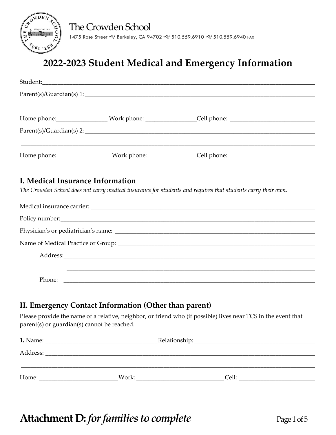

### **2022-2023 Student Medical and Emergency Information**

| Home phone: ______________________Work phone: __________________Cell phone: __________________________________ |
|----------------------------------------------------------------------------------------------------------------|
|                                                                                                                |
|                                                                                                                |
| Home phone:_______________________Work phone: _________________Cell phone: ___________________________________ |
|                                                                                                                |
|                                                                                                                |
| The Crowden School does not carry medical insurance for students and requires that students carry their own.   |
|                                                                                                                |
|                                                                                                                |
|                                                                                                                |
|                                                                                                                |
|                                                                                                                |
|                                                                                                                |
|                                                                                                                |
| I. Medical Insurance Information                                                                               |

#### **II. Emergency Contact Information (Other than parent)**

Please provide the name of a relative, neighbor, or friend who (if possible) lives near TCS in the event that parent(s) or guardian(s) cannot be reached.

| 1. Name: | Relationship: |                 |  |  |
|----------|---------------|-----------------|--|--|
| Address: |               |                 |  |  |
|          |               |                 |  |  |
| Home:    | Work:         | $C$ ell $\cdot$ |  |  |

### **Attachment D:** *for families to complete* Page 1 of 5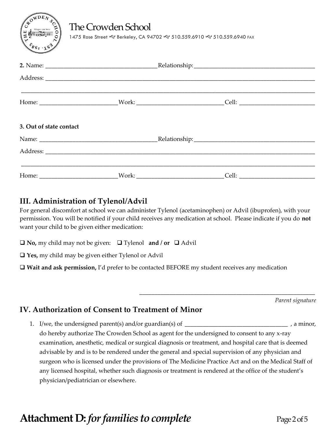### The Crowden School

1475 Rose Street & Berkeley, CA 94702 & 510.559.6910 & 510.559.6940 FAX

| 3. Out of state contact |  |  |
|-------------------------|--|--|
|                         |  |  |
|                         |  |  |
|                         |  |  |
|                         |  |  |

#### **III. Administration of Tylenol/Advil**

For general discomfort at school we can administer Tylenol (acetaminophen) or Advil (ibuprofen), with your permission. You will be notified if your child receives any medication at school. Please indicate if you do **not** want your child to be given either medication:

 $\Box$  **No,** my child may not be given:  $\Box$  Tylenol **and** / **or**  $\Box$  Advil

**Yes,** my child may be given either Tylenol or Advil

**Wait and ask permission,** I'd prefer to be contacted BEFORE my student receives any medication

*Parent signature*

#### **IV. Authorization of Consent to Treatment of Minor**

1. I/we, the undersigned parent(s) and/or guardian(s) of \_\_\_\_\_\_\_\_\_\_\_\_\_\_\_\_\_\_\_\_\_\_\_\_\_\_\_\_\_\_\_\_\_\_ , a minor, do hereby authorize The Crowden School as agent for the undersigned to consent to any x-ray examination, anesthetic, medical or surgical diagnosis or treatment, and hospital care that is deemed advisable by and is to be rendered under the general and special supervision of any physician and surgeon who is licensed under the provisions of The Medicine Practice Act and on the Medical Staff of any licensed hospital, whether such diagnosis or treatment is rendered at the office of the student's physician/pediatrician or elsewhere.

\_\_\_\_\_\_\_\_\_\_\_\_\_\_\_\_\_\_\_\_\_\_\_\_\_\_\_\_\_\_\_\_\_\_\_\_\_\_\_\_\_\_\_\_\_\_\_\_\_\_\_\_\_\_\_\_\_\_

# **Attachment D:** *for families to complete* Page 2 of 5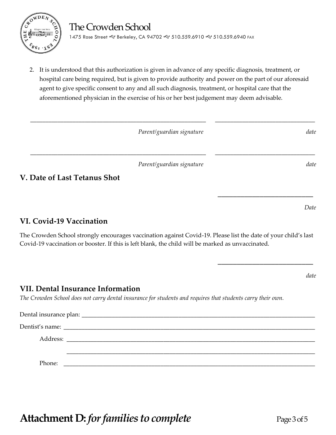

2. It is understood that this authorization is given in advance of any specific diagnosis, treatment, or hospital care being required, but is given to provide authority and power on the part of our aforesaid agent to give specific consent to any and all such diagnosis, treatment, or hospital care that the aforementioned physician in the exercise of his or her best judgement may deem advisable.

| Parent/guardian signature | date |
|---------------------------|------|
|---------------------------|------|

\_\_\_\_\_\_\_\_\_\_\_\_\_\_\_\_\_\_\_\_\_\_\_\_\_\_\_\_\_\_\_\_\_\_\_\_\_\_\_\_\_\_\_\_\_\_\_\_\_\_\_\_\_\_\_\_\_\_ \_\_\_\_\_\_\_\_\_\_\_\_\_\_\_\_\_\_\_\_\_\_\_\_\_\_\_\_\_\_\_\_\_

*Parent/guardian signature* date

\_\_\_\_\_\_\_\_\_\_\_\_\_\_\_\_\_\_\_\_\_\_\_\_\_\_\_\_\_\_\_\_\_\_\_\_\_\_\_\_\_\_\_\_\_\_\_\_\_\_\_\_\_\_\_\_\_\_ \_\_\_\_\_\_\_\_\_\_\_\_\_\_\_\_\_\_\_\_\_\_\_\_\_\_\_\_\_\_\_\_\_

**V. Date of Last Tetanus Shot**

**VI. Covid-19 Vaccination**

The Crowden School strongly encourages vaccination against Covid-19. Please list the date of your child's last Covid-19 vaccination or booster. If this is left blank, the child will be marked as unvaccinated.

**VII. Dental Insurance Information**

*The Crowden School does not carry dental insurance for students and requires that students carry their own.*

| Phone: |  |  |
|--------|--|--|

**Attachment D:** *for families to complete* Page 3 of 5

*Date*

**\_\_\_\_\_\_\_\_\_\_\_\_\_\_\_\_\_\_\_\_\_\_\_\_\_**

**\_\_\_\_\_\_\_\_\_\_\_\_\_\_\_\_\_\_\_\_\_\_\_\_\_**

*date*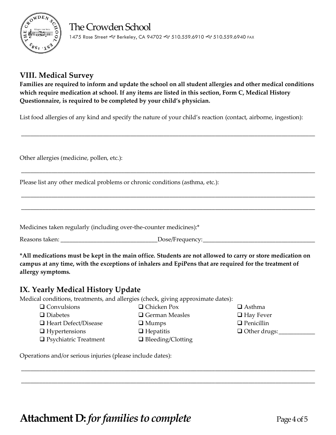

### **VIII. Medical Survey**

**Families are required to inform and update the school on all student allergies and other medical conditions which require medication at school. If any items are listed in this section, Form C, Medical History Questionnaire, is required to be completed by your child's physician.**

\_\_\_\_\_\_\_\_\_\_\_\_\_\_\_\_\_\_\_\_\_\_\_\_\_\_\_\_\_\_\_\_\_\_\_\_\_\_\_\_\_\_\_\_\_\_\_\_\_\_\_\_\_\_\_\_\_\_\_\_\_\_\_\_\_\_\_\_\_\_\_\_\_\_\_\_\_\_\_\_\_\_\_\_\_\_\_\_\_\_\_\_\_\_\_\_\_

\_\_\_\_\_\_\_\_\_\_\_\_\_\_\_\_\_\_\_\_\_\_\_\_\_\_\_\_\_\_\_\_\_\_\_\_\_\_\_\_\_\_\_\_\_\_\_\_\_\_\_\_\_\_\_\_\_\_\_\_\_\_\_\_\_\_\_\_\_\_\_\_\_\_\_\_\_\_\_\_\_\_\_\_\_\_\_\_\_\_\_\_\_\_\_\_\_

\_\_\_\_\_\_\_\_\_\_\_\_\_\_\_\_\_\_\_\_\_\_\_\_\_\_\_\_\_\_\_\_\_\_\_\_\_\_\_\_\_\_\_\_\_\_\_\_\_\_\_\_\_\_\_\_\_\_\_\_\_\_\_\_\_\_\_\_\_\_\_\_\_\_\_\_\_\_\_\_\_\_\_\_\_\_\_\_\_\_\_\_\_\_\_\_\_

\_\_\_\_\_\_\_\_\_\_\_\_\_\_\_\_\_\_\_\_\_\_\_\_\_\_\_\_\_\_\_\_\_\_\_\_\_\_\_\_\_\_\_\_\_\_\_\_\_\_\_\_\_\_\_\_\_\_\_\_\_\_\_\_\_\_\_\_\_\_\_\_\_\_\_\_\_\_\_\_\_\_\_\_\_\_\_\_\_\_\_\_\_\_\_\_\_

List food allergies of any kind and specify the nature of your child's reaction (contact, airborne, ingestion):

Other allergies (medicine, pollen, etc.):

Please list any other medical problems or chronic conditions (asthma, etc.):

Medicines taken regularly (including over-the-counter medicines):\*

Reasons taken: \_\_\_\_\_\_\_\_\_\_\_\_\_\_\_\_\_\_\_\_\_\_\_\_\_\_\_\_\_\_\_\_Dose/Frequency:\_\_\_\_\_\_\_\_\_\_\_\_\_\_\_\_\_\_\_\_\_\_\_\_\_\_\_\_\_\_\_\_\_\_\_\_\_

**\*All medications must be kept in the main office. Students are not allowed to carry or store medication on campus at any time, with the exceptions of inhalers and EpiPens that are required for the treatment of allergy symptoms.**

#### **IX. Yearly Medical History Update**

Medical conditions, treatments, and allergies (check, giving approximate dates):

- 
- $\square$  Convulsions  $\square$  Chicken Pox  $\square$  Asthma
- Diabetes German Measles Hay Fever
- $\Box$  Heart Defect/Disease  $\Box$  Mumps  $\Box$  Penicillin
- $\Box$  Hypertensions  $\Box$  Hepatitis  $\Box$  Other drugs:
- □ Psychiatric Treatment □ Bleeding/Clotting
- -

\_\_\_\_\_\_\_\_\_\_\_\_\_\_\_\_\_\_\_\_\_\_\_\_\_\_\_\_\_\_\_\_\_\_\_\_\_\_\_\_\_\_\_\_\_\_\_\_\_\_\_\_\_\_\_\_\_\_\_\_\_\_\_\_\_\_\_\_\_\_\_\_\_\_\_\_\_\_\_\_\_\_\_\_\_\_\_\_\_\_\_\_\_\_\_\_\_

\_\_\_\_\_\_\_\_\_\_\_\_\_\_\_\_\_\_\_\_\_\_\_\_\_\_\_\_\_\_\_\_\_\_\_\_\_\_\_\_\_\_\_\_\_\_\_\_\_\_\_\_\_\_\_\_\_\_\_\_\_\_\_\_\_\_\_\_\_\_\_\_\_\_\_\_\_\_\_\_\_\_\_\_\_\_\_\_\_\_\_\_\_\_\_\_\_

Operations and/or serious injuries (please include dates):

**Attachment D:** *for families to complete* Page 4 of 5